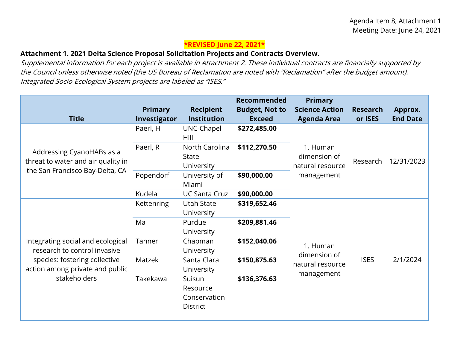## **\*REVISED June 22, 2021\***

## **Attachment 1. 2021 Delta Science Proposal Solicitation Projects and Contracts Overview.**

 the Council unless otherwise noted (the US Bureau of Reclamation are noted with "Reclamation" after the budget amount). Supplemental information for each project is available in Attachment 2. These individual contracts are financially supported by Integrated Socio-Ecological System projects are labeled as "ISES."

| <b>Primary</b><br>Investigator | <b>Recipient</b><br><b>Institution</b>                | <b>Recommended</b><br><b>Budget, Not to</b><br><b>Exceed</b> | <b>Primary</b><br><b>Science Action</b><br><b>Agenda Area</b>             | <b>Research</b><br>or ISES | Approx.<br><b>End Date</b> |
|--------------------------------|-------------------------------------------------------|--------------------------------------------------------------|---------------------------------------------------------------------------|----------------------------|----------------------------|
| Paerl, H                       | UNC-Chapel<br>Hill                                    | \$272,485.00                                                 |                                                                           | Research                   | 12/31/2023                 |
| Paerl, R                       | North Carolina<br><b>State</b><br>University          | \$112,270.50                                                 | 1. Human<br>dimension of<br>natural resource                              |                            |                            |
| Popendorf                      | University of<br>Miami                                | \$90,000.00                                                  | management                                                                |                            |                            |
| Kudela                         | <b>UC Santa Cruz</b>                                  | \$90,000.00                                                  |                                                                           |                            |                            |
| <b>Kettenring</b>              | <b>Utah State</b><br>University                       | \$319,652.46                                                 | 1. Human<br>dimension of<br><b>ISES</b><br>natural resource<br>management |                            | 2/1/2024                   |
| Ma                             | Purdue                                                | \$209,881.46                                                 |                                                                           |                            |                            |
| Tanner                         | Chapman<br>University                                 | \$152,040.06                                                 |                                                                           |                            |                            |
| Matzek                         | Santa Clara<br>University                             | \$150,875.63                                                 |                                                                           |                            |                            |
| Takekawa                       | Suisun<br>Resource<br>Conservation<br><b>District</b> | \$136,376.63                                                 |                                                                           |                            |                            |
|                                |                                                       | University                                                   |                                                                           |                            |                            |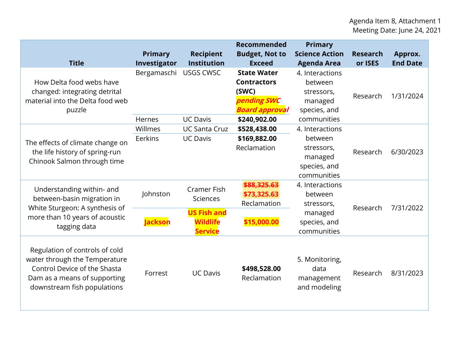| <b>Title</b>                                                                                                                                                   | Primary<br>Investigator | <b>Recipient</b><br><b>Institution</b>                                                           | <b>Recommended</b><br><b>Budget, Not to</b><br><b>Exceed</b>                                              | <b>Primary</b><br><b>Science Action</b><br><b>Agenda Area</b>                      | <b>Research</b><br>or ISES | Approx.<br><b>End Date</b> |
|----------------------------------------------------------------------------------------------------------------------------------------------------------------|-------------------------|--------------------------------------------------------------------------------------------------|-----------------------------------------------------------------------------------------------------------|------------------------------------------------------------------------------------|----------------------------|----------------------------|
| How Delta food webs have<br>changed: integrating detrital<br>material into the Delta food web<br>puzzle                                                        | Bergamaschi<br>Hernes   | <b>USGS CWSC</b><br><b>UC Davis</b>                                                              | <b>State Water</b><br><b>Contractors</b><br>(SWC)<br>pending SWC<br><b>Board approval</b><br>\$240,902.00 | 4. Interactions<br>between<br>stressors,<br>managed<br>species, and<br>communities | Research                   | 1/31/2024                  |
| The effects of climate change on<br>the life history of spring-run<br>Chinook Salmon through time                                                              | Willmes<br>Eerkins      | <b>UC Santa Cruz</b><br><b>UC Davis</b>                                                          | \$528,438.00<br>\$169,882.00<br>Reclamation                                                               | 4. Interactions<br>between<br>stressors,<br>managed<br>species, and<br>communities | Research                   | 6/30/2023                  |
| Understanding within- and<br>between-basin migration in<br>White Sturgeon: A synthesis of<br>more than 10 years of acoustic<br>tagging data                    | Johnston<br>ackson      | <b>Cramer Fish</b><br><b>Sciences</b><br><b>US Fish and</b><br><b>Wildlife</b><br><b>Service</b> | \$88,325.63<br>\$73,325.63<br>Reclamation<br>\$15,000.00                                                  | 4. Interactions<br>between<br>stressors,<br>managed<br>species, and<br>communities | Research                   | 7/31/2022                  |
| Regulation of controls of cold<br>water through the Temperature<br>Control Device of the Shasta<br>Dam as a means of supporting<br>downstream fish populations | Forrest                 | <b>UC Davis</b>                                                                                  | \$498,528.00<br>Reclamation                                                                               | 5. Monitoring,<br>data<br>management<br>and modeling                               | Research                   | 8/31/2023                  |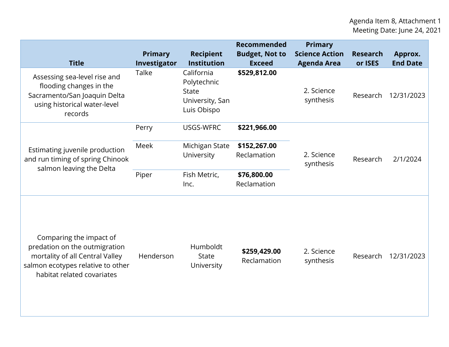| <b>Title</b>                                                                                                                                                   | Primary<br>Investigator | <b>Recipient</b><br><b>Institution</b>                                      | <b>Recommended</b><br><b>Budget, Not to</b><br><b>Exceed</b> | <b>Primary</b><br><b>Science Action</b><br><b>Agenda Area</b> | <b>Research</b><br>or ISES | Approx.<br><b>End Date</b> |
|----------------------------------------------------------------------------------------------------------------------------------------------------------------|-------------------------|-----------------------------------------------------------------------------|--------------------------------------------------------------|---------------------------------------------------------------|----------------------------|----------------------------|
| Assessing sea-level rise and<br>flooding changes in the<br>Sacramento/San Joaquin Delta<br>using historical water-level<br>records                             | Talke                   | California<br>Polytechnic<br><b>State</b><br>University, San<br>Luis Obispo | \$529,812.00                                                 | 2. Science<br>synthesis                                       | Research                   | 12/31/2023                 |
|                                                                                                                                                                | Perry                   | USGS-WFRC                                                                   | \$221,966.00                                                 |                                                               |                            |                            |
| Estimating juvenile production<br>and run timing of spring Chinook<br>salmon leaving the Delta                                                                 | Meek                    | Michigan State<br>University                                                | \$152,267.00<br>Reclamation                                  | 2. Science<br>synthesis                                       | Research                   | 2/1/2024                   |
|                                                                                                                                                                | Piper                   | Fish Metric,<br>Inc.                                                        | \$76,800.00<br>Reclamation                                   |                                                               |                            |                            |
| Comparing the impact of<br>predation on the outmigration<br>mortality of all Central Valley<br>salmon ecotypes relative to other<br>habitat related covariates | Henderson               | Humboldt<br><b>State</b><br>University                                      | \$259,429.00<br>Reclamation                                  | 2. Science<br>synthesis                                       | Research                   | 12/31/2023                 |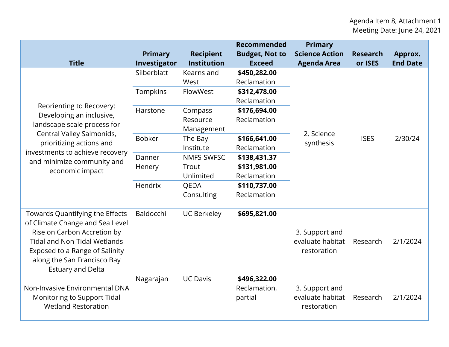| <b>Title</b>                                                                                                                                                                                                                          | <b>Primary</b><br>Investigator | <b>Recipient</b><br><b>Institution</b> | Recommended<br><b>Budget, Not to</b><br><b>Exceed</b> | <b>Primary</b><br><b>Science Action</b><br><b>Agenda Area</b> | <b>Research</b><br>or ISES | Approx.<br><b>End Date</b> |
|---------------------------------------------------------------------------------------------------------------------------------------------------------------------------------------------------------------------------------------|--------------------------------|----------------------------------------|-------------------------------------------------------|---------------------------------------------------------------|----------------------------|----------------------------|
| Reorienting to Recovery:<br>Developing an inclusive,<br>landscape scale process for<br>Central Valley Salmonids,<br>prioritizing actions and                                                                                          | Silberblatt                    | Kearns and<br>West                     | \$450,282.00<br>Reclamation                           | 2. Science<br>synthesis                                       | <b>ISES</b>                | 2/30/24                    |
|                                                                                                                                                                                                                                       | Tompkins                       | FlowWest                               | \$312,478.00<br>Reclamation                           |                                                               |                            |                            |
|                                                                                                                                                                                                                                       | Harstone                       | Compass<br>Resource<br>Management      | \$176,694.00<br>Reclamation                           |                                                               |                            |                            |
|                                                                                                                                                                                                                                       | <b>Bobker</b>                  | The Bay<br>Institute                   | \$166,641.00<br>Reclamation                           |                                                               |                            |                            |
| investments to achieve recovery<br>and minimize community and                                                                                                                                                                         | Danner                         | NMFS-SWFSC                             | \$138,431.37                                          |                                                               |                            |                            |
| economic impact                                                                                                                                                                                                                       | Henery                         | Trout<br>Unlimited                     | \$131,981.00<br>Reclamation                           |                                                               |                            |                            |
|                                                                                                                                                                                                                                       | Hendrix                        | QEDA                                   | \$110,737.00                                          |                                                               |                            |                            |
|                                                                                                                                                                                                                                       |                                | Consulting                             | Reclamation                                           |                                                               |                            |                            |
| Towards Quantifying the Effects<br>of Climate Change and Sea Level<br>Rise on Carbon Accretion by<br><b>Tidal and Non-Tidal Wetlands</b><br>Exposed to a Range of Salinity<br>along the San Francisco Bay<br><b>Estuary and Delta</b> | Baldocchi                      | <b>UC Berkeley</b>                     | \$695,821.00                                          | 3. Support and<br>evaluate habitat<br>restoration             | Research                   | 2/1/2024                   |
| Non-Invasive Environmental DNA<br>Monitoring to Support Tidal<br><b>Wetland Restoration</b>                                                                                                                                           | Nagarajan                      | <b>UC Davis</b>                        | \$496,322.00<br>Reclamation,<br>partial               | 3. Support and<br>evaluate habitat<br>restoration             | Research                   | 2/1/2024                   |